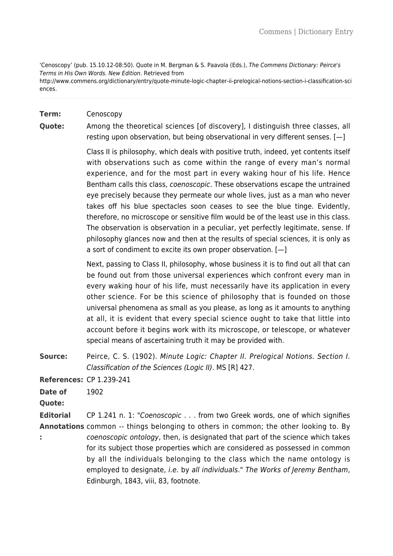'Cenoscopy' (pub. 15.10.12-08:50). Quote in M. Bergman & S. Paavola (Eds.), The Commens Dictionary: Peirce's Terms in His Own Words. New Edition. Retrieved from http://www.commens.org/dictionary/entry/quote-minute-logic-chapter-ii-prelogical-notions-section-i-classification-sci ences.

## **Term:** Cenoscopy

**Quote:** Among the theoretical sciences [of discovery], I distinguish three classes, all resting upon observation, but being observational in very different senses. [—]

> Class II is philosophy, which deals with positive truth, indeed, yet contents itself with observations such as come within the range of every man's normal experience, and for the most part in every waking hour of his life. Hence Bentham calls this class, coenoscopic. These observations escape the untrained eye precisely because they permeate our whole lives, just as a man who never takes off his blue spectacles soon ceases to see the blue tinge. Evidently, therefore, no microscope or sensitive film would be of the least use in this class. The observation is observation in a peculiar, yet perfectly legitimate, sense. If philosophy glances now and then at the results of special sciences, it is only as a sort of condiment to excite its own proper observation. [—]

> Next, passing to Class II, philosophy, whose business it is to find out all that can be found out from those universal experiences which confront every man in every waking hour of his life, must necessarily have its application in every other science. For be this science of philosophy that is founded on those universal phenomena as small as you please, as long as it amounts to anything at all, it is evident that every special science ought to take that little into account before it begins work with its microscope, or telescope, or whatever special means of ascertaining truth it may be provided with.

**Source:** Peirce, C. S. (1902). Minute Logic: Chapter II. Prelogical Notions. Section I. Classification of the Sciences (Logic II). MS [R] 427.

**References:** CP 1.239-241

**Date of** 1902

**Quote:** 

**Editorial Annotations** common -- things belonging to others in common; the other looking to. By **:**  CP 1.241 n. 1: "Coenoscopic . . . from two Greek words, one of which signifies coenoscopic ontology, then, is designated that part of the science which takes for its subject those properties which are considered as possessed in common by all the individuals belonging to the class which the name ontology is employed to designate, i.e. by all individuals." The Works of Jeremy Bentham, Edinburgh, 1843, viii, 83, footnote.